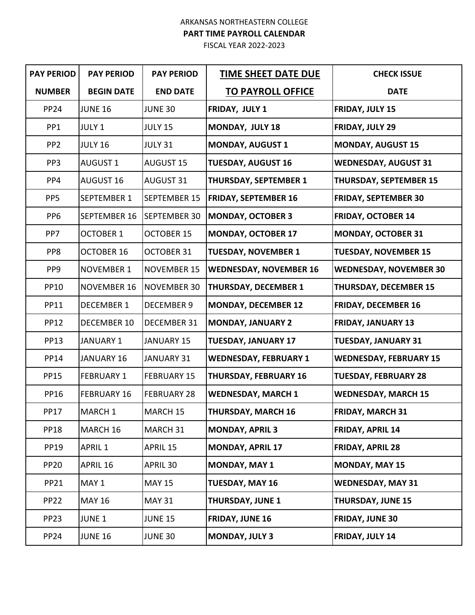## ARKANSAS NORTHEASTERN COLLEGE **PART TIME PAYROLL CALENDAR**

FISCAL YEAR 2022-2023

| <b>PAY PERIOD</b> | <b>PAY PERIOD</b>  | <b>PAY PERIOD</b>   | <b>TIME SHEET DATE DUE</b>    | <b>CHECK ISSUE</b>            |
|-------------------|--------------------|---------------------|-------------------------------|-------------------------------|
| <b>NUMBER</b>     | <b>BEGIN DATE</b>  | <b>END DATE</b>     | <b>TO PAYROLL OFFICE</b>      | <b>DATE</b>                   |
| <b>PP24</b>       | <b>JUNE 16</b>     | <b>JUNE 30</b>      | FRIDAY, JULY 1                | FRIDAY, JULY 15               |
| PP <sub>1</sub>   | JULY 1             | <b>JULY 15</b>      | MONDAY, JULY 18               | FRIDAY, JULY 29               |
| PP <sub>2</sub>   | <b>JULY 16</b>     | <b>JULY 31</b>      | <b>MONDAY, AUGUST 1</b>       | <b>MONDAY, AUGUST 15</b>      |
| PP <sub>3</sub>   | <b>AUGUST 1</b>    | <b>AUGUST 15</b>    | <b>TUESDAY, AUGUST 16</b>     | <b>WEDNESDAY, AUGUST 31</b>   |
| PP4               | <b>AUGUST 16</b>   | <b>AUGUST 31</b>    | <b>THURSDAY, SEPTEMBER 1</b>  | <b>THURSDAY, SEPTEMBER 15</b> |
| PP <sub>5</sub>   | SEPTEMBER 1        | <b>SEPTEMBER 15</b> | <b>FRIDAY, SEPTEMBER 16</b>   | <b>FRIDAY, SEPTEMBER 30</b>   |
| PP <sub>6</sub>   | SEPTEMBER 16       | SEPTEMBER 30        | <b>MONDAY, OCTOBER 3</b>      | <b>FRIDAY, OCTOBER 14</b>     |
| PP7               | <b>OCTOBER 1</b>   | <b>OCTOBER 15</b>   | <b>MONDAY, OCTOBER 17</b>     | <b>MONDAY, OCTOBER 31</b>     |
| PP8               | <b>OCTOBER 16</b>  | <b>OCTOBER 31</b>   | <b>TUESDAY, NOVEMBER 1</b>    | <b>TUESDAY, NOVEMBER 15</b>   |
| PP9               | <b>NOVEMBER 1</b>  | <b>NOVEMBER 15</b>  | <b>WEDNESDAY, NOVEMBER 16</b> | <b>WEDNESDAY, NOVEMBER 30</b> |
| <b>PP10</b>       | <b>NOVEMBER 16</b> | <b>NOVEMBER 30</b>  | <b>THURSDAY, DECEMBER 1</b>   | <b>THURSDAY, DECEMBER 15</b>  |
| <b>PP11</b>       | <b>DECEMBER 1</b>  | <b>DECEMBER 9</b>   | <b>MONDAY, DECEMBER 12</b>    | <b>FRIDAY, DECEMBER 16</b>    |
| <b>PP12</b>       | <b>DECEMBER 10</b> | DECEMBER 31         | <b>MONDAY, JANUARY 2</b>      | <b>FRIDAY, JANUARY 13</b>     |
| <b>PP13</b>       | <b>JANUARY 1</b>   | <b>JANUARY 15</b>   | <b>TUESDAY, JANUARY 17</b>    | <b>TUESDAY, JANUARY 31</b>    |
| <b>PP14</b>       | <b>JANUARY 16</b>  | JANUARY 31          | <b>WEDNESDAY, FEBRUARY 1</b>  | <b>WEDNESDAY, FEBRUARY 15</b> |
| <b>PP15</b>       | <b>FEBRUARY 1</b>  | <b>FEBRUARY 15</b>  | <b>THURSDAY, FEBRUARY 16</b>  | <b>TUESDAY, FEBRUARY 28</b>   |
| <b>PP16</b>       | <b>FEBRUARY 16</b> | <b>FEBRUARY 28</b>  | <b>WEDNESDAY, MARCH 1</b>     | <b>WEDNESDAY, MARCH 15</b>    |
| <b>PP17</b>       | MARCH 1            | MARCH 15            | <b>THURSDAY, MARCH 16</b>     | <b>FRIDAY, MARCH 31</b>       |
| <b>PP18</b>       | MARCH 16           | MARCH 31            | <b>MONDAY, APRIL 3</b>        | <b>FRIDAY, APRIL 14</b>       |
| <b>PP19</b>       | APRIL 1            | APRIL 15            | <b>MONDAY, APRIL 17</b>       | <b>FRIDAY, APRIL 28</b>       |
| <b>PP20</b>       | APRIL 16           | APRIL 30            | <b>MONDAY, MAY 1</b>          | <b>MONDAY, MAY 15</b>         |
| <b>PP21</b>       | MAY 1              | <b>MAY 15</b>       | <b>TUESDAY, MAY 16</b>        | <b>WEDNESDAY, MAY 31</b>      |
| <b>PP22</b>       | <b>MAY 16</b>      | <b>MAY 31</b>       | <b>THURSDAY, JUNE 1</b>       | <b>THURSDAY, JUNE 15</b>      |
| <b>PP23</b>       | <b>JUNE 1</b>      | <b>JUNE 15</b>      | <b>FRIDAY, JUNE 16</b>        | <b>FRIDAY, JUNE 30</b>        |
| <b>PP24</b>       | <b>JUNE 16</b>     | <b>JUNE 30</b>      | <b>MONDAY, JULY 3</b>         | FRIDAY, JULY 14               |